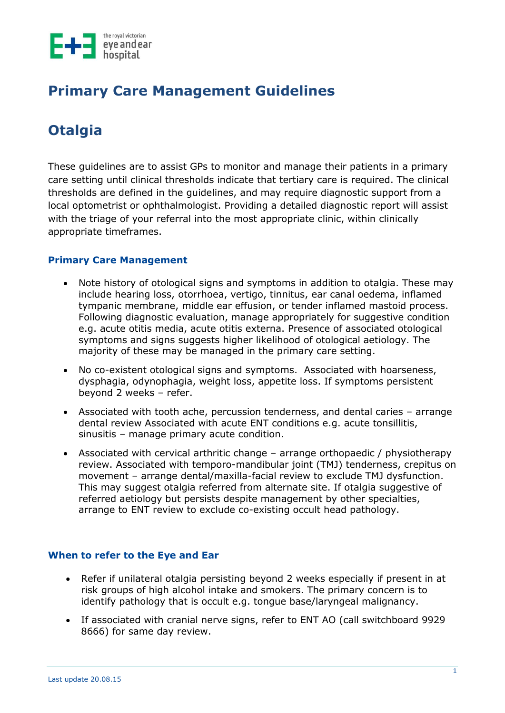

# **Primary Care Management Guidelines**

# **Otalgia**

These guidelines are to assist GPs to monitor and manage their patients in a primary care setting until clinical thresholds indicate that tertiary care is required. The clinical thresholds are defined in the guidelines, and may require diagnostic support from a local optometrist or ophthalmologist. Providing a detailed diagnostic report will assist with the triage of your referral into the most appropriate clinic, within clinically appropriate timeframes.

## **Primary Care Management**

- Note history of otological signs and symptoms in addition to otalgia. These may include hearing loss, otorrhoea, vertigo, tinnitus, ear canal oedema, inflamed tympanic membrane, middle ear effusion, or tender inflamed mastoid process. Following diagnostic evaluation, manage appropriately for suggestive condition e.g. acute otitis media, acute otitis externa. Presence of associated otological symptoms and signs suggests higher likelihood of otological aetiology. The majority of these may be managed in the primary care setting.
- No co-existent otological signs and symptoms. Associated with hoarseness, dysphagia, odynophagia, weight loss, appetite loss. If symptoms persistent beyond 2 weeks – refer.
- Associated with tooth ache, percussion tenderness, and dental caries arrange dental review Associated with acute ENT conditions e.g. acute tonsillitis, sinusitis – manage primary acute condition.
- Associated with cervical arthritic change arrange orthopaedic / physiotherapy review. Associated with temporo-mandibular joint (TMJ) tenderness, crepitus on movement – arrange dental/maxilla-facial review to exclude TMJ dysfunction. This may suggest otalgia referred from alternate site. If otalgia suggestive of referred aetiology but persists despite management by other specialties, arrange to ENT review to exclude co-existing occult head pathology.

#### **When to refer to the Eye and Ear**

- Refer if unilateral otalgia persisting beyond 2 weeks especially if present in at risk groups of high alcohol intake and smokers. The primary concern is to identify pathology that is occult e.g. tongue base/laryngeal malignancy.
- If associated with cranial nerve signs, refer to ENT AO (call switchboard 9929 8666) for same day review.